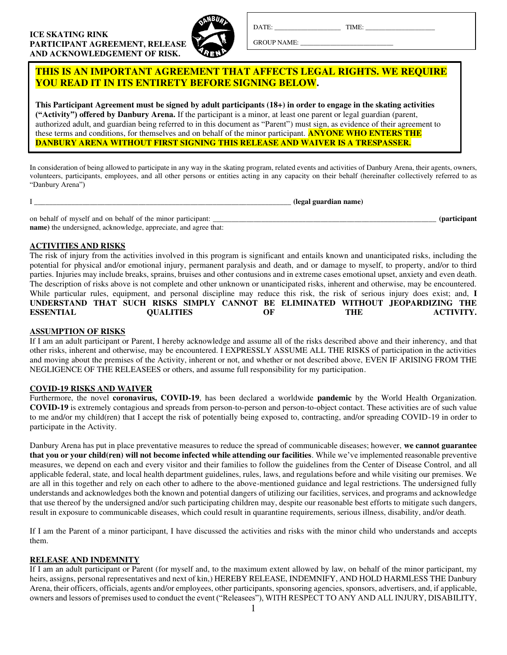

DATE: TIME:

GROUP NAME:

**THIS IS AN IMPORTANT AGREEMENT THAT AFFECTS LEGAL RIGHTS. WE REQUIRE YOU READ IT IN ITS ENTIRETY BEFORE SIGNING BELOW.** 

**This Participant Agreement must be signed by adult participants (18+) in order to engage in the skating activities ("Activity") offered by Danbury Arena.** If the participant is a minor, at least one parent or legal guardian (parent, authorized adult, and guardian being referred to in this document as "Parent") must sign, as evidence of their agreement to these terms and conditions, for themselves and on behalf of the minor participant. **ANYONE WHO ENTERS THE DANBURY ARENA WITHOUT FIRST SIGNING THIS RELEASE AND WAIVER IS A TRESPASSER.**

In consideration of being allowed to participate in any way in the skating program, related events and activities of Danbury Arena, their agents, owners, volunteers, participants, employees, and all other persons or entities acting in any capacity on their behalf (hereinafter collectively referred to as "Danbury Arena")

|                                                                         | (legal guardian name) |                      |
|-------------------------------------------------------------------------|-----------------------|----------------------|
| on behalf of myself and on behalf of the minor participant:             |                       | <i>(participant)</i> |
| <b>name</b> ) the undersigned, acknowledge, appreciate, and agree that: |                       |                      |

## **ACTIVITIES AND RISKS**

The risk of injury from the activities involved in this program is significant and entails known and unanticipated risks, including the potential for physical and/or emotional injury, permanent paralysis and death, and or damage to myself, to property, and/or to third parties. Injuries may include breaks, sprains, bruises and other contusions and in extreme cases emotional upset, anxiety and even death. The description of risks above is not complete and other unknown or unanticipated risks, inherent and otherwise, may be encountered. While particular rules, equipment, and personal discipline may reduce this risk, the risk of serious injury does exist; and, **I UNDERSTAND THAT SUCH RISKS SIMPLY CANNOT BE ELIMINATED WITHOUT JEOPARDIZING THE ESSENTIAL QUALITIES OF THE ACTIVITY.**

## **ASSUMPTION OF RISKS**

If I am an adult participant or Parent, I hereby acknowledge and assume all of the risks described above and their inherency, and that other risks, inherent and otherwise, may be encountered. I EXPRESSLY ASSUME ALL THE RISKS of participation in the activities and moving about the premises of the Activity, inherent or not, and whether or not described above, EVEN IF ARISING FROM THE NEGLIGENCE OF THE RELEASEES or others, and assume full responsibility for my participation.

## **COVID-19 RISKS AND WAIVER**

Furthermore, the novel **coronavirus, COVID-19**, has been declared a worldwide **pandemic** by the World Health Organization. **COVID-19** is extremely contagious and spreads from person-to-person and person-to-object contact. These activities are of such value to me and/or my child(ren) that I accept the risk of potentially being exposed to, contracting, and/or spreading COVID-19 in order to participate in the Activity.

Danbury Arena has put in place preventative measures to reduce the spread of communicable diseases; however, **we cannot guarantee that you or your child(ren) will not become infected while attending our facilities**. While we've implemented reasonable preventive measures, we depend on each and every visitor and their families to follow the guidelines from the Center of Disease Control, and all applicable federal, state, and local health department guidelines, rules, laws, and regulations before and while visiting our premises. We are all in this together and rely on each other to adhere to the above-mentioned guidance and legal restrictions. The undersigned fully understands and acknowledges both the known and potential dangers of utilizing our facilities, services, and programs and acknowledge that use thereof by the undersigned and/or such participating children may, despite our reasonable best efforts to mitigate such dangers, result in exposure to communicable diseases, which could result in quarantine requirements, serious illness, disability, and/or death.

If I am the Parent of a minor participant, I have discussed the activities and risks with the minor child who understands and accepts them.

# **RELEASE AND INDEMNITY**

If I am an adult participant or Parent (for myself and, to the maximum extent allowed by law, on behalf of the minor participant, my heirs, assigns, personal representatives and next of kin,) HEREBY RELEASE, INDEMNIFY, AND HOLD HARMLESS THE Danbury Arena, their officers, officials, agents and/or employees, other participants, sponsoring agencies, sponsors, advertisers, and, if applicable, owners and lessors of premises used to conduct the event ("Releasees"), WITH RESPECT TO ANY AND ALL INJURY, DISABILITY,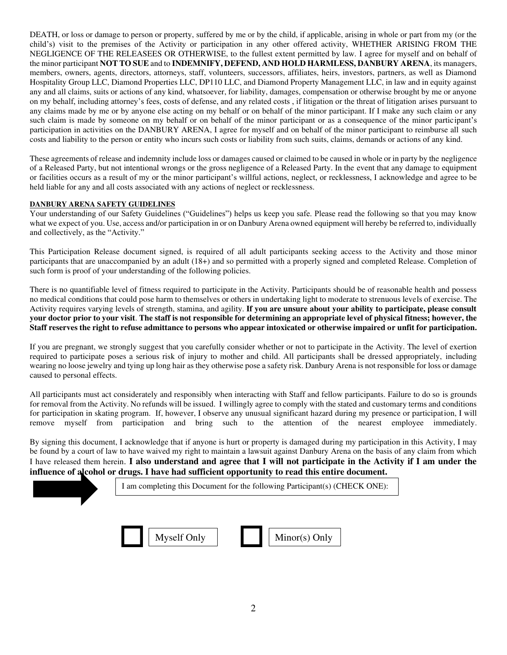DEATH, or loss or damage to person or property, suffered by me or by the child, if applicable, arising in whole or part from my (or the child's) visit to the premises of the Activity or participation in any other offered activity, WHETHER ARISING FROM THE NEGLIGENCE OF THE RELEASEES OR OTHERWISE, to the fullest extent permitted by law. I agree for myself and on behalf of the minor participant **NOT TO SUE** and to **INDEMNIFY, DEFEND, AND HOLD HARMLESS, DANBURY ARENA**, its managers, members, owners, agents, directors, attorneys, staff, volunteers, successors, affiliates, heirs, investors, partners, as well as Diamond Hospitality Group LLC, Diamond Properties LLC, DP110 LLC, and Diamond Property Management LLC, in law and in equity against any and all claims, suits or actions of any kind, whatsoever, for liability, damages, compensation or otherwise brought by me or anyone on my behalf, including attorney's fees, costs of defense, and any related costs , if litigation or the threat of litigation arises pursuant to any claims made by me or by anyone else acting on my behalf or on behalf of the minor participant. If I make any such claim or any such claim is made by someone on my behalf or on behalf of the minor participant or as a consequence of the minor participant's participation in activities on the DANBURY ARENA, I agree for myself and on behalf of the minor participant to reimburse all such costs and liability to the person or entity who incurs such costs or liability from such suits, claims, demands or actions of any kind.

These agreements of release and indemnity include loss or damages caused or claimed to be caused in whole or in party by the negligence of a Released Party, but not intentional wrongs or the gross negligence of a Released Party. In the event that any damage to equipment or facilities occurs as a result of my or the minor participant's willful actions, neglect, or recklessness, I acknowledge and agree to be held liable for any and all costs associated with any actions of neglect or recklessness.

#### **DANBURY ARENA SAFETY GUIDELINES**

Your understanding of our Safety Guidelines ("Guidelines") helps us keep you safe. Please read the following so that you may know what we expect of you. Use, access and/or participation in or on Danbury Arena owned equipment will hereby be referred to, individually and collectively, as the "Activity."

This Participation Release document signed, is required of all adult participants seeking access to the Activity and those minor participants that are unaccompanied by an adult (18+) and so permitted with a properly signed and completed Release. Completion of such form is proof of your understanding of the following policies.

There is no quantifiable level of fitness required to participate in the Activity. Participants should be of reasonable health and possess no medical conditions that could pose harm to themselves or others in undertaking light to moderate to strenuous levels of exercise. The Activity requires varying levels of strength, stamina, and agility. **If you are unsure about your ability to participate, please consult your doctor prior to your visit**. **The staff is not responsible for determining an appropriate level of physical fitness; however, the Staff reserves the right to refuse admittance to persons who appear intoxicated or otherwise impaired or unfit for participation.** 

If you are pregnant, we strongly suggest that you carefully consider whether or not to participate in the Activity. The level of exertion required to participate poses a serious risk of injury to mother and child. All participants shall be dressed appropriately, including wearing no loose jewelry and tying up long hair as they otherwise pose a safety risk. Danbury Arena is not responsible for loss or damage caused to personal effects.

All participants must act considerately and responsibly when interacting with Staff and fellow participants. Failure to do so is grounds for removal from the Activity. No refunds will be issued. I willingly agree to comply with the stated and customary terms and conditions for participation in skating program. If, however, I observe any unusual significant hazard during my presence or participation, I will remove myself from participation and bring such to the attention of the nearest employee immediately.

By signing this document, I acknowledge that if anyone is hurt or property is damaged during my participation in this Activity, I may be found by a court of law to have waived my right to maintain a lawsuit against Danbury Arena on the basis of any claim from which I have released them herein. **I also understand and agree that I will not participate in the Activity if I am under the influence of alcohol or drugs. I have had sufficient opportunity to read this entire document.**